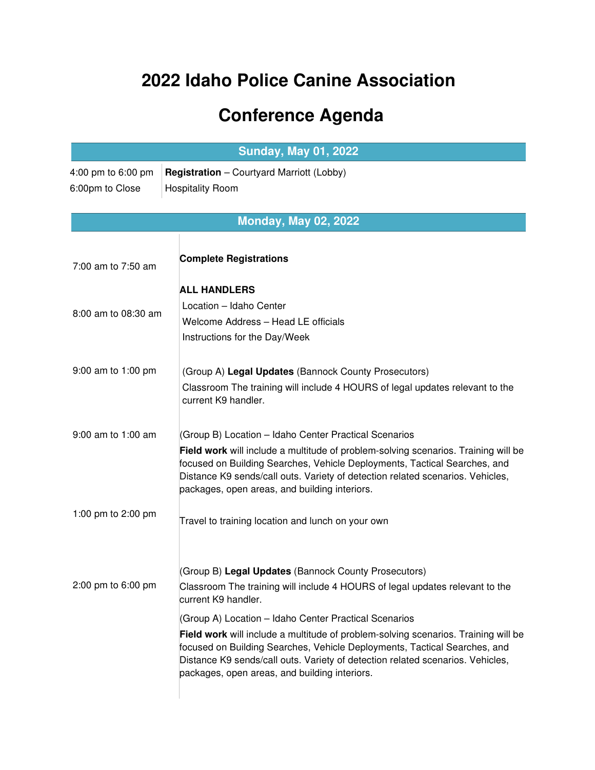## **2022 Idaho Police Canine Association**

## **Conference Agenda**

|                                       | <b>Sunday, May 01, 2022</b>                                                                                                                                                                                                                                                                                                                                 |  |
|---------------------------------------|-------------------------------------------------------------------------------------------------------------------------------------------------------------------------------------------------------------------------------------------------------------------------------------------------------------------------------------------------------------|--|
| 4:00 pm to 6:00 pm<br>6:00pm to Close | <b>Registration</b> - Courtyard Marriott (Lobby)<br><b>Hospitality Room</b>                                                                                                                                                                                                                                                                                 |  |
| <b>Monday, May 02, 2022</b>           |                                                                                                                                                                                                                                                                                                                                                             |  |
| 7:00 am to 7:50 am                    | <b>Complete Registrations</b>                                                                                                                                                                                                                                                                                                                               |  |
|                                       | <b>ALL HANDLERS</b>                                                                                                                                                                                                                                                                                                                                         |  |
| 8:00 am to 08:30 am                   | Location - Idaho Center<br>Welcome Address - Head LE officials<br>Instructions for the Day/Week                                                                                                                                                                                                                                                             |  |
|                                       |                                                                                                                                                                                                                                                                                                                                                             |  |
| 9:00 am to 1:00 pm                    | (Group A) Legal Updates (Bannock County Prosecutors)<br>Classroom The training will include 4 HOURS of legal updates relevant to the<br>current K9 handler.                                                                                                                                                                                                 |  |
| 9:00 am to 1:00 am                    | (Group B) Location - Idaho Center Practical Scenarios<br>Field work will include a multitude of problem-solving scenarios. Training will be<br>focused on Building Searches, Vehicle Deployments, Tactical Searches, and<br>Distance K9 sends/call outs. Variety of detection related scenarios. Vehicles,<br>packages, open areas, and building interiors. |  |
| 1:00 pm to 2:00 pm                    | Travel to training location and lunch on your own                                                                                                                                                                                                                                                                                                           |  |
| 2:00 pm to 6:00 pm                    | (Group B) Legal Updates (Bannock County Prosecutors)<br>Classroom The training will include 4 HOURS of legal updates relevant to the<br>current K9 handler.                                                                                                                                                                                                 |  |
|                                       | (Group A) Location - Idaho Center Practical Scenarios<br>Field work will include a multitude of problem-solving scenarios. Training will be<br>focused on Building Searches, Vehicle Deployments, Tactical Searches, and<br>Distance K9 sends/call outs. Variety of detection related scenarios. Vehicles,<br>packages, open areas, and building interiors. |  |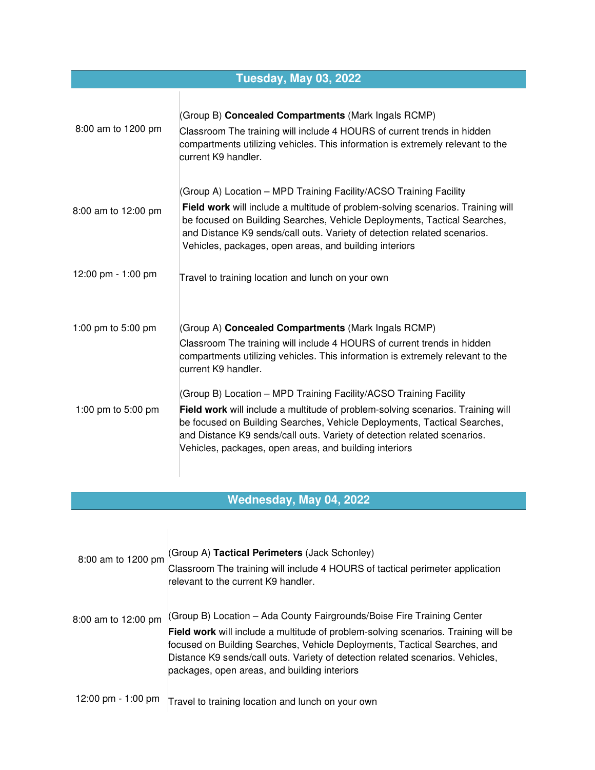| <b>Tuesday, May 03, 2022</b> |                                                                                                                                                                                                                                                                                                                                                                        |  |
|------------------------------|------------------------------------------------------------------------------------------------------------------------------------------------------------------------------------------------------------------------------------------------------------------------------------------------------------------------------------------------------------------------|--|
| 8:00 am to 1200 pm           | (Group B) Concealed Compartments (Mark Ingals RCMP)<br>Classroom The training will include 4 HOURS of current trends in hidden<br>compartments utilizing vehicles. This information is extremely relevant to the<br>current K9 handler.                                                                                                                                |  |
| 8:00 am to 12:00 pm          | (Group A) Location - MPD Training Facility/ACSO Training Facility<br>Field work will include a multitude of problem-solving scenarios. Training will<br>be focused on Building Searches, Vehicle Deployments, Tactical Searches,<br>and Distance K9 sends/call outs. Variety of detection related scenarios.<br>Vehicles, packages, open areas, and building interiors |  |
| 12:00 pm - 1:00 pm           | Travel to training location and lunch on your own                                                                                                                                                                                                                                                                                                                      |  |
| 1:00 pm to 5:00 pm           | (Group A) Concealed Compartments (Mark Ingals RCMP)<br>Classroom The training will include 4 HOURS of current trends in hidden<br>compartments utilizing vehicles. This information is extremely relevant to the<br>current K9 handler.                                                                                                                                |  |
| 1:00 pm to 5:00 pm           | (Group B) Location - MPD Training Facility/ACSO Training Facility<br>Field work will include a multitude of problem-solving scenarios. Training will<br>be focused on Building Searches, Vehicle Deployments, Tactical Searches,<br>and Distance K9 sends/call outs. Variety of detection related scenarios.<br>Vehicles, packages, open areas, and building interiors |  |

## **Wednesday, May 04, 2022**

| 8:00 am to 1200 pm  | (Group A) Tactical Perimeters (Jack Schonley)<br>Classroom The training will include 4 HOURS of tactical perimeter application<br>relevant to the current K9 handler.                                                                                                                                                                                                       |
|---------------------|-----------------------------------------------------------------------------------------------------------------------------------------------------------------------------------------------------------------------------------------------------------------------------------------------------------------------------------------------------------------------------|
| 8:00 am to 12:00 pm | (Group B) Location - Ada County Fairgrounds/Boise Fire Training Center<br>Field work will include a multitude of problem-solving scenarios. Training will be<br>focused on Building Searches, Vehicle Deployments, Tactical Searches, and<br>Distance K9 sends/call outs. Variety of detection related scenarios. Vehicles,<br>packages, open areas, and building interiors |
| 12:00 pm - 1:00 pm  | Travel to training location and lunch on your own                                                                                                                                                                                                                                                                                                                           |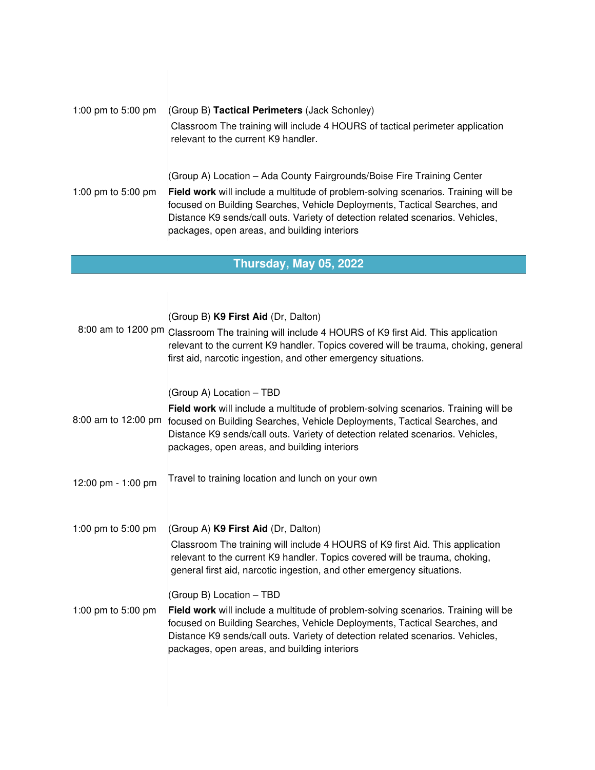| 1:00 pm to 5:00 pm | (Group B) Tactical Perimeters (Jack Schonley)<br>Classroom The training will include 4 HOURS of tactical perimeter application<br>relevant to the current K9 handler.                                                                                                                                                                                                       |
|--------------------|-----------------------------------------------------------------------------------------------------------------------------------------------------------------------------------------------------------------------------------------------------------------------------------------------------------------------------------------------------------------------------|
| 1:00 pm to 5:00 pm | (Group A) Location - Ada County Fairgrounds/Boise Fire Training Center<br>Field work will include a multitude of problem-solving scenarios. Training will be<br>focused on Building Searches, Vehicle Deployments, Tactical Searches, and<br>Distance K9 sends/call outs. Variety of detection related scenarios. Vehicles,<br>packages, open areas, and building interiors |

## **Thursday, May 05, 2022**

|                     | (Group B) K9 First Aid (Dr, Dalton)<br>8:00 am to 1200 pm Classroom The training will include 4 HOURS of K9 first Aid. This application<br>relevant to the current K9 handler. Topics covered will be trauma, choking, general<br>first aid, narcotic ingestion, and other emergency situations.                              |
|---------------------|-------------------------------------------------------------------------------------------------------------------------------------------------------------------------------------------------------------------------------------------------------------------------------------------------------------------------------|
| 8:00 am to 12:00 pm | (Group A) Location - TBD<br>Field work will include a multitude of problem-solving scenarios. Training will be<br>focused on Building Searches, Vehicle Deployments, Tactical Searches, and<br>Distance K9 sends/call outs. Variety of detection related scenarios. Vehicles,<br>packages, open areas, and building interiors |
| 12:00 pm - 1:00 pm  | Travel to training location and lunch on your own                                                                                                                                                                                                                                                                             |
| 1:00 pm to 5:00 pm  | (Group A) K9 First Aid (Dr, Dalton)<br>Classroom The training will include 4 HOURS of K9 first Aid. This application<br>relevant to the current K9 handler. Topics covered will be trauma, choking,<br>general first aid, narcotic ingestion, and other emergency situations.                                                 |
| 1:00 pm to 5:00 pm  | (Group B) Location - TBD<br>Field work will include a multitude of problem-solving scenarios. Training will be<br>focused on Building Searches, Vehicle Deployments, Tactical Searches, and<br>Distance K9 sends/call outs. Variety of detection related scenarios. Vehicles,<br>packages, open areas, and building interiors |